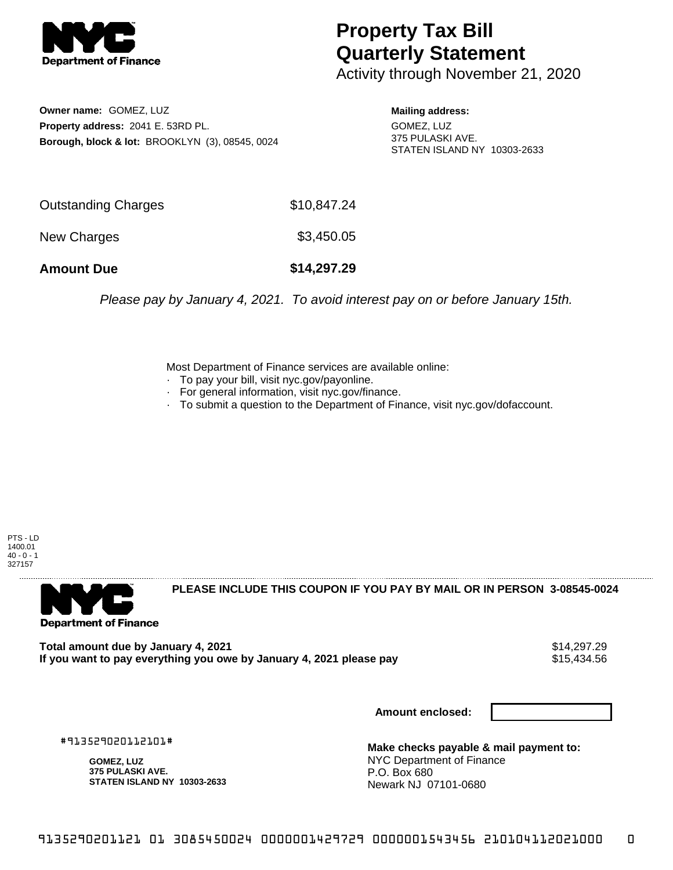

## **Property Tax Bill Quarterly Statement**

Activity through November 21, 2020

**Owner name:** GOMEZ, LUZ **Property address:** 2041 E. 53RD PL. **Borough, block & lot:** BROOKLYN (3), 08545, 0024

**Mailing address:** GOMEZ, LUZ 375 PULASKI AVE. STATEN ISLAND NY 10303-2633

| <b>Amount Due</b>          | \$14,297.29 |
|----------------------------|-------------|
| New Charges                | \$3,450.05  |
| <b>Outstanding Charges</b> | \$10,847.24 |

Please pay by January 4, 2021. To avoid interest pay on or before January 15th.

Most Department of Finance services are available online:

- · To pay your bill, visit nyc.gov/payonline.
- For general information, visit nyc.gov/finance.
- · To submit a question to the Department of Finance, visit nyc.gov/dofaccount.

PTS - LD 1400.01  $40 - 0 - 1$ 327157



**PLEASE INCLUDE THIS COUPON IF YOU PAY BY MAIL OR IN PERSON 3-08545-0024** 

Total amount due by January 4, 2021<br>If you want to pay everything you owe by January 4, 2021 please pay **stack of the Santa Audio S**15,434.56 If you want to pay everything you owe by January 4, 2021 please pay

**Amount enclosed:**

#913529020112101#

**GOMEZ, LUZ 375 PULASKI AVE. STATEN ISLAND NY 10303-2633**

**Make checks payable & mail payment to:** NYC Department of Finance P.O. Box 680 Newark NJ 07101-0680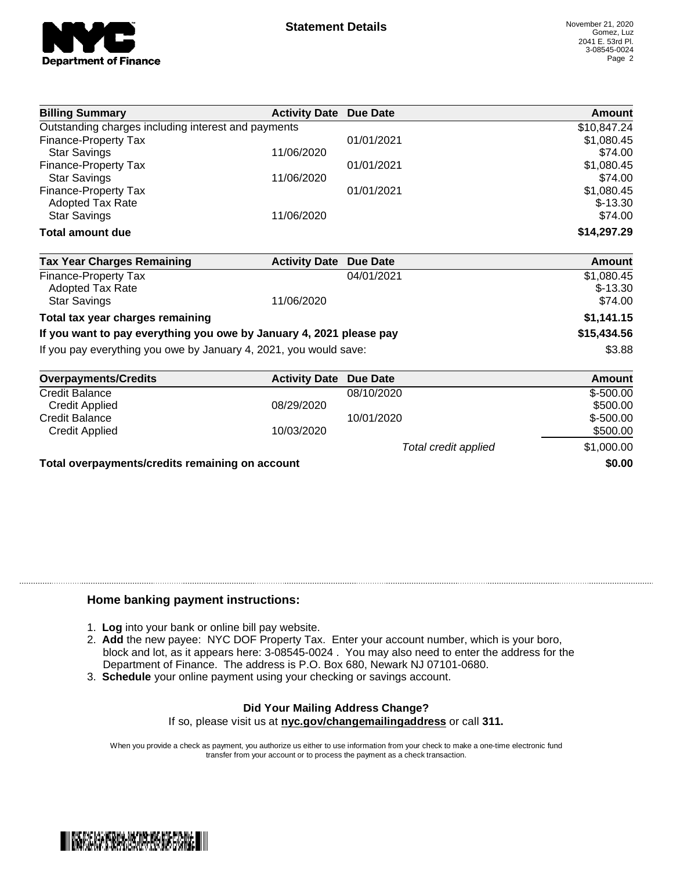

| <b>Billing Summary</b>                              | <b>Activity Date Due Date</b> |            | Amount        |
|-----------------------------------------------------|-------------------------------|------------|---------------|
| Outstanding charges including interest and payments |                               |            | \$10,847.24   |
| Finance-Property Tax                                |                               | 01/01/2021 | \$1,080.45    |
| <b>Star Savings</b>                                 | 11/06/2020                    |            | \$74.00       |
| Finance-Property Tax                                |                               | 01/01/2021 | \$1,080.45    |
| <b>Star Savings</b>                                 | 11/06/2020                    |            | \$74.00       |
| Finance-Property Tax                                |                               | 01/01/2021 | \$1,080.45    |
| <b>Adopted Tax Rate</b>                             |                               |            | $$-13.30$     |
| <b>Star Savings</b>                                 | 11/06/2020                    |            | \$74.00       |
| <b>Total amount due</b>                             |                               |            | \$14,297.29   |
| <b>Tax Year Charges Remaining</b>                   | <b>Activity Date</b>          | Due Date   | <b>Amount</b> |
| Finanga Dronarh: Tay                                |                               | 0.1010004  | $0.4000$ $AE$ |

| <b>I dA Tedi Ondives Remaining</b>                                  | ACUVILY DALE DUE DALE | Allivulit   |
|---------------------------------------------------------------------|-----------------------|-------------|
| Finance-Property Tax                                                | 04/01/2021            | \$1,080.45  |
| <b>Adopted Tax Rate</b>                                             |                       | $$-13.30$   |
| <b>Star Savings</b>                                                 | 11/06/2020            | \$74.00     |
| Total tax year charges remaining                                    |                       | \$1,141.15  |
| If you want to pay everything you owe by January 4, 2021 please pay |                       | \$15,434.56 |
| If you pay everything you owe by January 4, 2021, you would save:   |                       | \$3.88      |

| <b>Overpayments/Credits</b>                     | <b>Activity Date Due Date</b> |                      | Amount     |
|-------------------------------------------------|-------------------------------|----------------------|------------|
| <b>Credit Balance</b>                           |                               | 08/10/2020           | $$-500.00$ |
| Credit Applied                                  | 08/29/2020                    |                      | \$500.00   |
| <b>Credit Balance</b>                           |                               | 10/01/2020           | $$-500.00$ |
| Credit Applied                                  | 10/03/2020                    |                      | \$500.00   |
|                                                 |                               | Total credit applied | \$1,000.00 |
| Total overpayments/credits remaining on account |                               |                      | \$0.00     |

## **Home banking payment instructions:**

- 1. **Log** into your bank or online bill pay website.
- 2. **Add** the new payee: NYC DOF Property Tax. Enter your account number, which is your boro, block and lot, as it appears here: 3-08545-0024 . You may also need to enter the address for the Department of Finance. The address is P.O. Box 680, Newark NJ 07101-0680.
- 3. **Schedule** your online payment using your checking or savings account.

## **Did Your Mailing Address Change?**

If so, please visit us at **nyc.gov/changemailingaddress** or call **311.**

When you provide a check as payment, you authorize us either to use information from your check to make a one-time electronic fund transfer from your account or to process the payment as a check transaction.